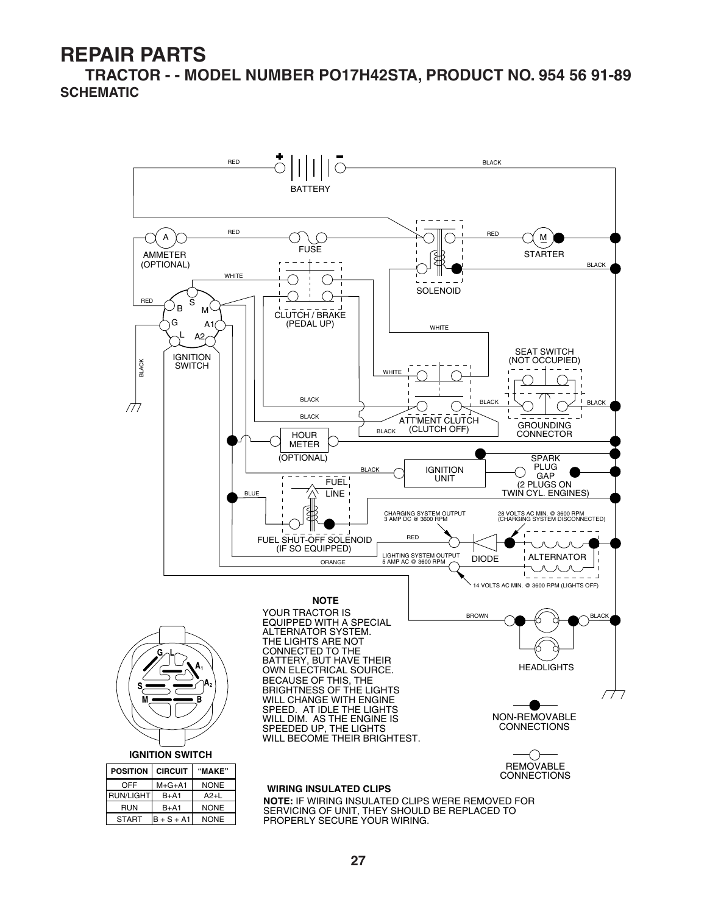**TRACTOR - - MODEL NUMBER PO17H42STA, PRODUCT NO. 954 56 91-89 SCHEMATIC**

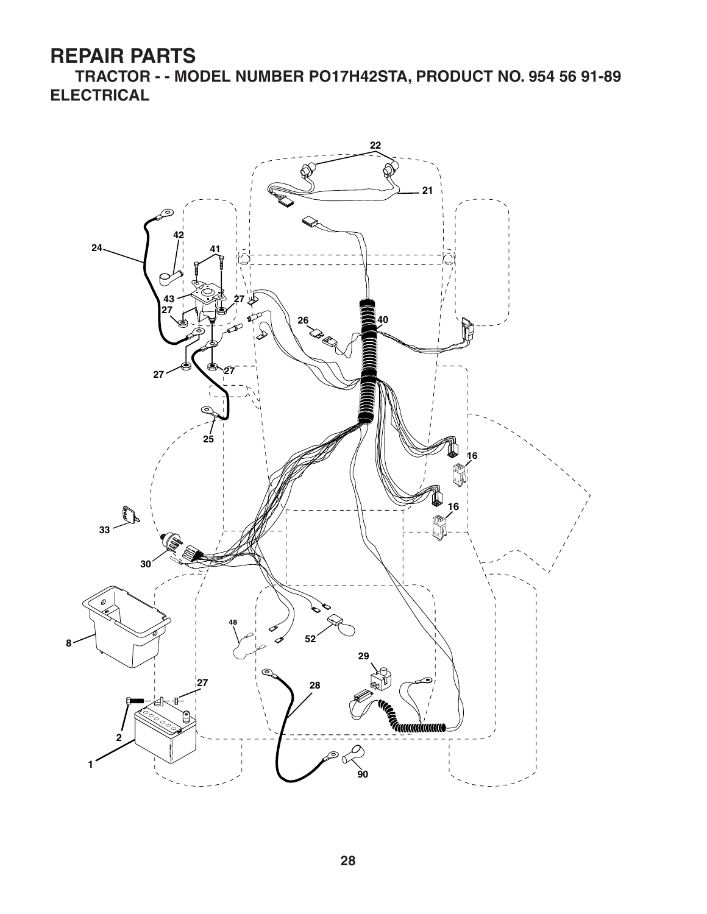**TRACTOR - - MODEL NUMBER PO17H42STA, PRODUCT NO. 954 56 91-89 ELECTRICAL**

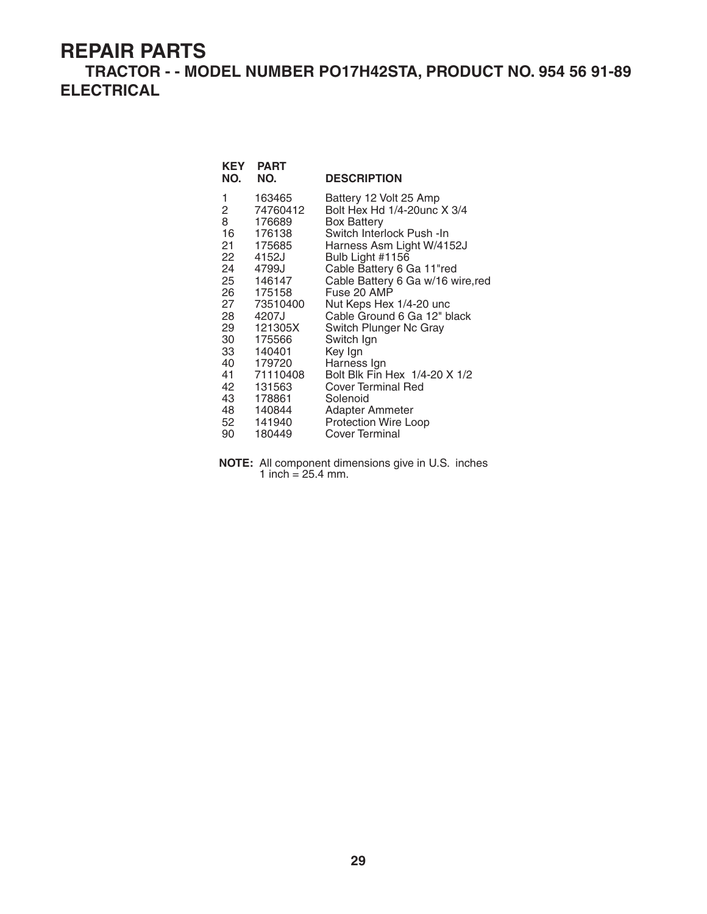**TRACTOR - - MODEL NUMBER PO17H42STA, PRODUCT NO. 954 56 91-89 ELECTRICAL**

| KEY<br>NO.          | <b>PART</b><br>NO. | <b>DESCRIPTION</b>                                    |
|---------------------|--------------------|-------------------------------------------------------|
| 1<br>$\mathbf{2}^-$ | 163465<br>74760412 | Battery 12 Volt 25 Amp<br>Bolt Hex Hd 1/4-20unc X 3/4 |
| 8<br>16             | 176689<br>176138   | <b>Box Battery</b><br>Switch Interlock Push -In       |
|                     | 21 175685          | Harness Asm Light W/4152J                             |
| 22                  | 4152J              | Bulb Light #1156                                      |
| 24                  | 4799J              | Cable Battery 6 Ga 11"red                             |
|                     | 25 146147          | Cable Battery 6 Ga w/16 wire, red                     |
|                     | 26 175158          | Fuse 20 AMP                                           |
|                     | 27 73510400        | Nut Keps Hex 1/4-20 unc                               |
| 28                  | 4207J              | Cable Ground 6 Ga 12" black                           |
|                     | 29 121305X         | Switch Plunger Nc Gray                                |
| 30                  | 175566             | Switch Ign                                            |
|                     | 33 140401          | Key Ign                                               |
| 40                  | 179720             | Harness Ign                                           |
| 41                  | 71110408           | Bolt Blk Fin Hex 1/4-20 X 1/2                         |
| 42                  | 131563             | <b>Cover Terminal Red</b>                             |
|                     | 43 178861          | Solenoid                                              |
|                     | 48 140844          | Adapter Ammeter                                       |
|                     | 52 141940          | Protection Wire Loop                                  |
| 90                  | 180449             | Cover Terminal                                        |

**NOTE:** All component dimensions give in U.S. inches 1 inch =  $25.4$  mm.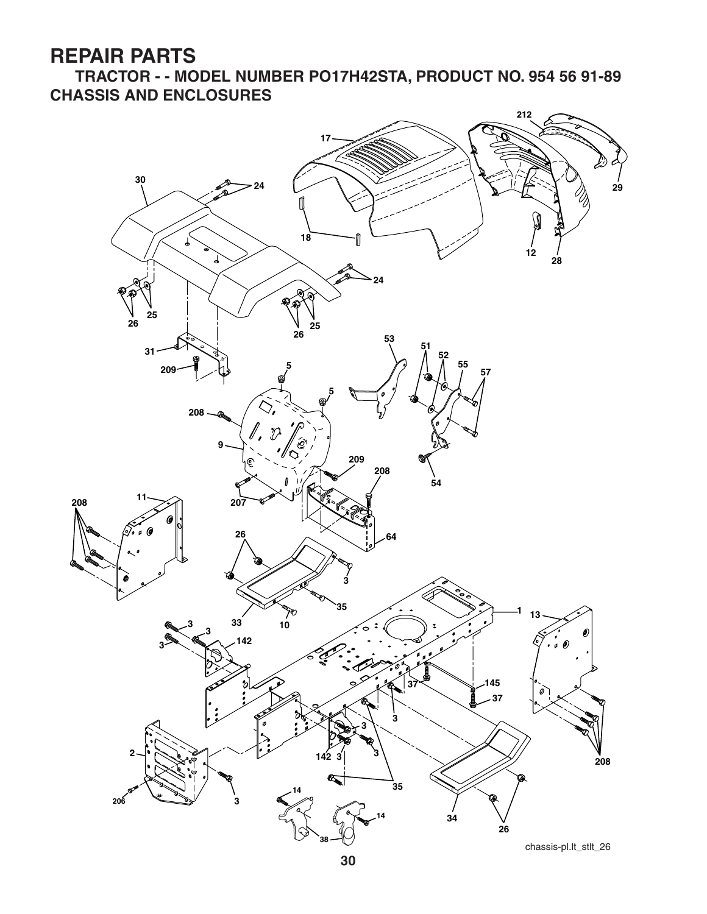**TRACTOR - - MODEL NUMBER PO17H42STA, PRODUCT NO. 954 56 91-89 CHASSIS AND ENCLOSURES**

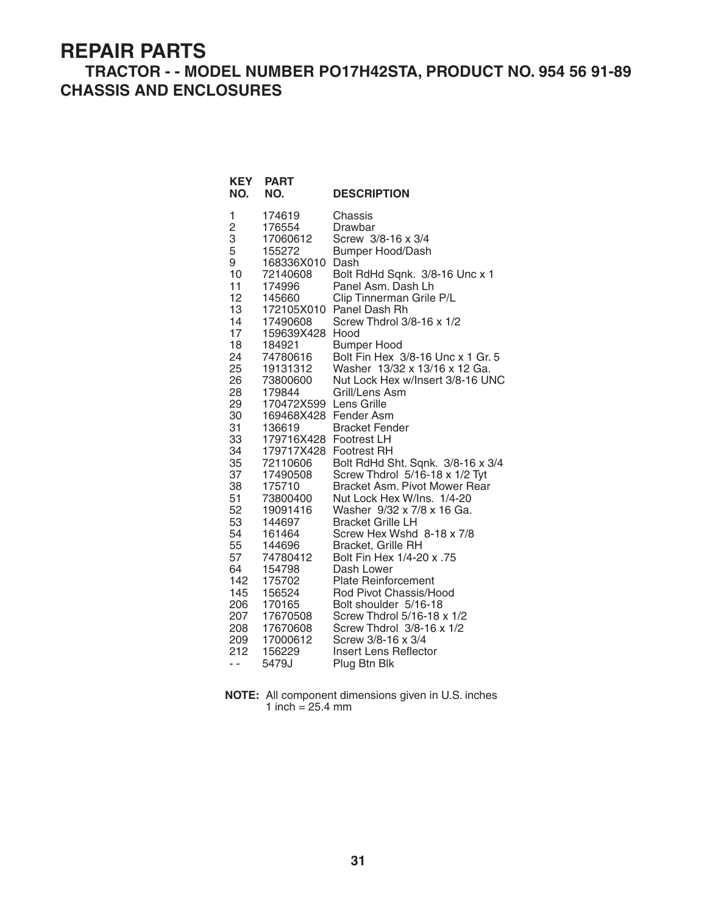### **TRACTOR - - MODEL NUMBER PO17H42STA, PRODUCT NO. 954 56 91-89 CHASSIS AND ENCLOSURES**

| <b>KEY</b><br>NO.                                                                                                                                                                                                                  | <b>PART</b><br>NO.                                                                                                                                                                                                                                                                                                                                                                                                                                                         | <b>DESCRIPTION</b>                                                                                                                                                                                                                                                                                                                                                                                                                                                                                                                                                                                                                                                                                                                                                                                                                                                             |
|------------------------------------------------------------------------------------------------------------------------------------------------------------------------------------------------------------------------------------|----------------------------------------------------------------------------------------------------------------------------------------------------------------------------------------------------------------------------------------------------------------------------------------------------------------------------------------------------------------------------------------------------------------------------------------------------------------------------|--------------------------------------------------------------------------------------------------------------------------------------------------------------------------------------------------------------------------------------------------------------------------------------------------------------------------------------------------------------------------------------------------------------------------------------------------------------------------------------------------------------------------------------------------------------------------------------------------------------------------------------------------------------------------------------------------------------------------------------------------------------------------------------------------------------------------------------------------------------------------------|
| 1<br>$\frac{2}{3}$<br>5<br>9<br>10<br>11<br>12<br>13<br>14<br>17<br>18<br>24<br>25<br>26<br>28<br>29<br>30<br>31<br>33<br>34<br>35<br>37<br>38<br>51<br>52<br>53<br>54<br>55<br>57<br>64<br>142<br>145<br>206<br>207<br>208<br>209 | 174619<br>176554<br>17060612<br>155272<br>168336X010<br>72140608<br>174996<br>145660<br>172105X010<br>17490608<br>159639X428<br>184921<br>74780616<br>19131312<br>73800600<br>179844<br>170472X599 Lens Grille<br>169468X428<br>136619<br>179716X428 Footrest LH<br>179717X428 Footrest RH<br>72110606<br>17490508<br>175710<br>73800400<br>19091416<br>144697<br>161464<br>144696<br>74780412<br>154798<br>175702<br>156524<br>170165<br>17670508<br>17670608<br>17000612 | Chassis<br>Drawbar<br>Screw 3/8-16 x 3/4<br><b>Bumper Hood/Dash</b><br>Dash<br>Bolt RdHd Sqnk. 3/8-16 Unc x 1<br>Panel Asm. Dash Lh<br>Clip Tinnerman Grile P/L<br>Panel Dash Rh<br>Screw Thdrol 3/8-16 x 1/2<br>Hood<br><b>Bumper Hood</b><br>Bolt Fin Hex 3/8-16 Unc x 1 Gr. 5<br>Washer 13/32 x 13/16 x 12 Ga.<br>Nut Lock Hex w/Insert 3/8-16 UNC<br>Grill/Lens Asm<br>Fender Asm<br><b>Bracket Fender</b><br>Bolt RdHd Sht. Sqnk. 3/8-16 x 3/4<br>Screw Thdrol 5/16-18 x 1/2 Tyt<br>Bracket Asm. Pivot Mower Rear<br>Nut Lock Hex W/Ins. 1/4-20<br>Washer 9/32 x 7/8 x 16 Ga.<br><b>Bracket Grille LH</b><br>Screw Hex Wshd 8-18 x 7/8<br>Bracket, Grille RH<br>Bolt Fin Hex 1/4-20 x .75<br>Dash Lower<br><b>Plate Reinforcement</b><br>Rod Pivot Chassis/Hood<br>Bolt shoulder 5/16-18<br>Screw Thdrol 5/16-18 x 1/2<br>Screw Thdrol 3/8-16 x 1/2<br>Screw 3/8-16 x 3/4 |
| 212<br>$ -$                                                                                                                                                                                                                        | 156229<br>5479J                                                                                                                                                                                                                                                                                                                                                                                                                                                            | Insert Lens Reflector<br>Plug Btn Blk                                                                                                                                                                                                                                                                                                                                                                                                                                                                                                                                                                                                                                                                                                                                                                                                                                          |

**NOTE:** All component dimensions given in U.S. inches 1 inch  $= 25.4$  mm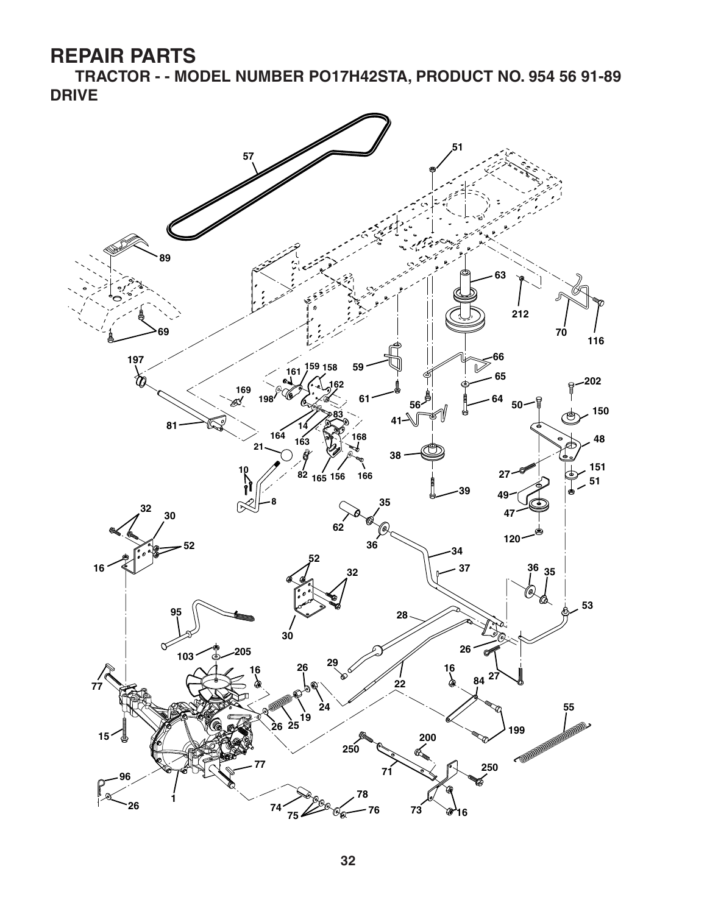**TRACTOR - - MODEL NUMBER PO17H42STA, PRODUCT NO. 954 56 91-89 DRIVE**

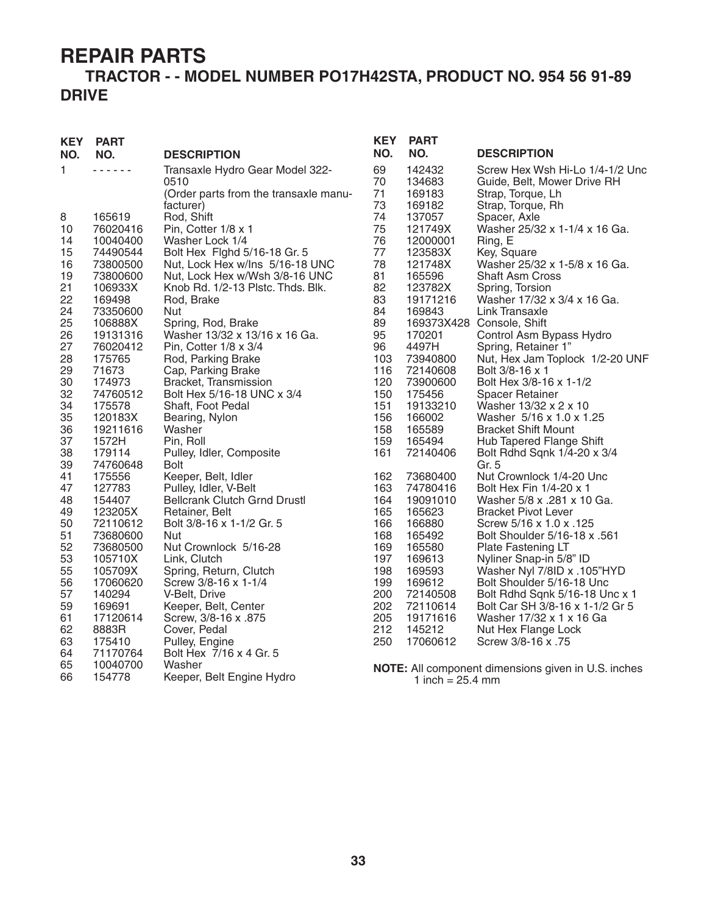#### **TRACTOR - - MODEL NUMBER PO17H42STA, PRODUCT NO. 954 56 91-89 DRIVE**

| NO.<br>NO.<br><b>DESCRIPTION</b><br>1<br>Transaxle Hydro Gear Model 322-<br>0510<br>(Order parts from the transaxle manu-<br>facturer)<br>Rod, Shift<br>8<br>165619<br>10<br>Pin, Cotter 1/8 x 1<br>76020416<br>14<br>Washer Lock 1/4<br>10040400<br>Bolt Hex Flghd 5/16-18 Gr. 5<br>15<br>74490544<br>Nut, Lock Hex w/Ins 5/16-18 UNC<br>16<br>73800500<br>19<br>Nut, Lock Hex w/Wsh 3/8-16 UNC<br>73800600<br>21<br>106933X<br>Knob Rd. 1/2-13 Plstc. Thds. Blk.<br>22<br>169498<br>Rod, Brake<br>24<br>73350600<br>Nut<br>25<br>106888X<br>Spring, Rod, Brake<br>Washer 13/32 x 13/16 x 16 Ga.<br>26<br>19131316<br>27<br>Pin, Cotter 1/8 x 3/4<br>76020412<br>28<br>175765<br>Rod, Parking Brake<br>29<br>71673<br>Cap, Parking Brake<br>30<br>Bracket, Transmission<br>174973<br>32<br>Bolt Hex 5/16-18 UNC x 3/4<br>74760512<br>34<br>175578<br>Shaft, Foot Pedal<br>35<br>120183X<br>Bearing, Nylon |
|------------------------------------------------------------------------------------------------------------------------------------------------------------------------------------------------------------------------------------------------------------------------------------------------------------------------------------------------------------------------------------------------------------------------------------------------------------------------------------------------------------------------------------------------------------------------------------------------------------------------------------------------------------------------------------------------------------------------------------------------------------------------------------------------------------------------------------------------------------------------------------------------------------|
|                                                                                                                                                                                                                                                                                                                                                                                                                                                                                                                                                                                                                                                                                                                                                                                                                                                                                                            |
|                                                                                                                                                                                                                                                                                                                                                                                                                                                                                                                                                                                                                                                                                                                                                                                                                                                                                                            |
|                                                                                                                                                                                                                                                                                                                                                                                                                                                                                                                                                                                                                                                                                                                                                                                                                                                                                                            |
|                                                                                                                                                                                                                                                                                                                                                                                                                                                                                                                                                                                                                                                                                                                                                                                                                                                                                                            |
|                                                                                                                                                                                                                                                                                                                                                                                                                                                                                                                                                                                                                                                                                                                                                                                                                                                                                                            |
|                                                                                                                                                                                                                                                                                                                                                                                                                                                                                                                                                                                                                                                                                                                                                                                                                                                                                                            |
|                                                                                                                                                                                                                                                                                                                                                                                                                                                                                                                                                                                                                                                                                                                                                                                                                                                                                                            |
|                                                                                                                                                                                                                                                                                                                                                                                                                                                                                                                                                                                                                                                                                                                                                                                                                                                                                                            |
|                                                                                                                                                                                                                                                                                                                                                                                                                                                                                                                                                                                                                                                                                                                                                                                                                                                                                                            |
|                                                                                                                                                                                                                                                                                                                                                                                                                                                                                                                                                                                                                                                                                                                                                                                                                                                                                                            |
|                                                                                                                                                                                                                                                                                                                                                                                                                                                                                                                                                                                                                                                                                                                                                                                                                                                                                                            |
|                                                                                                                                                                                                                                                                                                                                                                                                                                                                                                                                                                                                                                                                                                                                                                                                                                                                                                            |
|                                                                                                                                                                                                                                                                                                                                                                                                                                                                                                                                                                                                                                                                                                                                                                                                                                                                                                            |
|                                                                                                                                                                                                                                                                                                                                                                                                                                                                                                                                                                                                                                                                                                                                                                                                                                                                                                            |
|                                                                                                                                                                                                                                                                                                                                                                                                                                                                                                                                                                                                                                                                                                                                                                                                                                                                                                            |
|                                                                                                                                                                                                                                                                                                                                                                                                                                                                                                                                                                                                                                                                                                                                                                                                                                                                                                            |
|                                                                                                                                                                                                                                                                                                                                                                                                                                                                                                                                                                                                                                                                                                                                                                                                                                                                                                            |
|                                                                                                                                                                                                                                                                                                                                                                                                                                                                                                                                                                                                                                                                                                                                                                                                                                                                                                            |
|                                                                                                                                                                                                                                                                                                                                                                                                                                                                                                                                                                                                                                                                                                                                                                                                                                                                                                            |
|                                                                                                                                                                                                                                                                                                                                                                                                                                                                                                                                                                                                                                                                                                                                                                                                                                                                                                            |
|                                                                                                                                                                                                                                                                                                                                                                                                                                                                                                                                                                                                                                                                                                                                                                                                                                                                                                            |
| 36<br>19211616<br>Washer                                                                                                                                                                                                                                                                                                                                                                                                                                                                                                                                                                                                                                                                                                                                                                                                                                                                                   |
| 37<br>Pin, Roll<br>1572H                                                                                                                                                                                                                                                                                                                                                                                                                                                                                                                                                                                                                                                                                                                                                                                                                                                                                   |
| 38<br>179114<br>Pulley, Idler, Composite                                                                                                                                                                                                                                                                                                                                                                                                                                                                                                                                                                                                                                                                                                                                                                                                                                                                   |
| 39<br>Bolt<br>74760648                                                                                                                                                                                                                                                                                                                                                                                                                                                                                                                                                                                                                                                                                                                                                                                                                                                                                     |
| 41<br>175556<br>Keeper, Belt, Idler<br>47<br>Pulley, Idler, V-Belt<br>127783                                                                                                                                                                                                                                                                                                                                                                                                                                                                                                                                                                                                                                                                                                                                                                                                                               |
| <b>Bellcrank Clutch Grnd Drustl</b><br>48<br>154407                                                                                                                                                                                                                                                                                                                                                                                                                                                                                                                                                                                                                                                                                                                                                                                                                                                        |
| 49<br>123205X<br>Retainer, Belt                                                                                                                                                                                                                                                                                                                                                                                                                                                                                                                                                                                                                                                                                                                                                                                                                                                                            |
| 50<br>72110612<br>Bolt 3/8-16 x 1-1/2 Gr. 5                                                                                                                                                                                                                                                                                                                                                                                                                                                                                                                                                                                                                                                                                                                                                                                                                                                                |
| 51<br>73680600<br>Nut                                                                                                                                                                                                                                                                                                                                                                                                                                                                                                                                                                                                                                                                                                                                                                                                                                                                                      |
| Nut Crownlock 5/16-28<br>52<br>73680500                                                                                                                                                                                                                                                                                                                                                                                                                                                                                                                                                                                                                                                                                                                                                                                                                                                                    |
| Link, Clutch<br>53<br>105710X                                                                                                                                                                                                                                                                                                                                                                                                                                                                                                                                                                                                                                                                                                                                                                                                                                                                              |
| 55<br>105709X<br>Spring, Return, Clutch                                                                                                                                                                                                                                                                                                                                                                                                                                                                                                                                                                                                                                                                                                                                                                                                                                                                    |
| 56<br>Screw 3/8-16 x 1-1/4<br>17060620                                                                                                                                                                                                                                                                                                                                                                                                                                                                                                                                                                                                                                                                                                                                                                                                                                                                     |
| 57<br>V-Belt, Drive<br>140294                                                                                                                                                                                                                                                                                                                                                                                                                                                                                                                                                                                                                                                                                                                                                                                                                                                                              |
| 59<br>Keeper, Belt, Center<br>169691                                                                                                                                                                                                                                                                                                                                                                                                                                                                                                                                                                                                                                                                                                                                                                                                                                                                       |
| 61<br>Screw, 3/8-16 x .875<br>17120614<br>Cover, Pedal<br>62                                                                                                                                                                                                                                                                                                                                                                                                                                                                                                                                                                                                                                                                                                                                                                                                                                               |
| 8883R<br>63<br>175410<br>Pulley, Engine                                                                                                                                                                                                                                                                                                                                                                                                                                                                                                                                                                                                                                                                                                                                                                                                                                                                    |
| 64<br>71170764<br>Bolt Hex 7/16 x 4 Gr. 5                                                                                                                                                                                                                                                                                                                                                                                                                                                                                                                                                                                                                                                                                                                                                                                                                                                                  |
| 65<br>10040700<br>Washer                                                                                                                                                                                                                                                                                                                                                                                                                                                                                                                                                                                                                                                                                                                                                                                                                                                                                   |
| 66<br>Keeper, Belt Engine Hydro<br>154778                                                                                                                                                                                                                                                                                                                                                                                                                                                                                                                                                                                                                                                                                                                                                                                                                                                                  |

| <b>KEY</b>     | <b>PART</b>                   |                                                                                     |
|----------------|-------------------------------|-------------------------------------------------------------------------------------|
| NO.            | NO.                           | <b>DESCRIPTION</b>                                                                  |
| 69<br>70<br>71 | 142432<br>134683<br>169183    | Screw Hex Wsh Hi-Lo 1/4-1/2 Unc<br>Guide, Belt, Mower Drive RH<br>Strap, Torque, Lh |
| 73             | 169182                        | Strap, Torque, Rh                                                                   |
| 74<br>75<br>76 | 137057<br>121749X<br>12000001 | Spacer, Axle<br>Washer 25/32 x 1-1/4 x 16 Ga.<br>Ring, E                            |
| 77             | 123583X                       | Key, Square                                                                         |
| 78<br>81       | 121748X<br>165596             | Washer 25/32 x 1-5/8 x 16 Ga.<br><b>Shaft Asm Cross</b>                             |
| 82             | 123782X                       | Spring, Torsion                                                                     |
| 83<br>84       | 19171216<br>169843            | Washer 17/32 x 3/4 x 16 Ga.<br>Link Transaxle                                       |
| 89             | 169373X428                    | Console, Shift                                                                      |
| 95             | 170201                        | Control Asm Bypass Hydro                                                            |
| 96<br>103      | 4497H<br>73940800             | Spring, Retainer 1"<br>Nut, Hex Jam Toplock 1/2-20 UNF                              |
| 116            | 72140608                      | Bolt 3/8-16 x 1                                                                     |
| 120            | 73900600                      | Bolt Hex 3/8-16 x 1-1/2                                                             |
| 150            | 175456                        | Spacer Retainer                                                                     |
| 151<br>156     | 19133210<br>166002            | Washer 13/32 x 2 x 10<br>Washer 5/16 x 1.0 x 1.25                                   |
| 158            | 165589                        | <b>Bracket Shift Mount</b>                                                          |
| 159            | 165494                        | <b>Hub Tapered Flange Shift</b>                                                     |
| 161            | 72140406                      | Bolt Rdhd Sqnk 1/4-20 x 3/4<br>Gr. 5                                                |
| 162            | 73680400                      | Nut Crownlock 1/4-20 Unc                                                            |
| 163            | 74780416                      | Bolt Hex Fin 1/4-20 x 1                                                             |
| 164            | 19091010                      | Washer 5/8 x .281 x 10 Ga.                                                          |
| 165<br>166     | 165623<br>166880              | <b>Bracket Pivot Lever</b><br>Screw 5/16 x 1.0 x .125                               |
| 168            | 165492                        | Bolt Shoulder 5/16-18 x .561                                                        |
| 169            | 165580                        | Plate Fastening LT                                                                  |
| 197            | 169613                        | Nyliner Snap-in 5/8" ID                                                             |
| 198<br>199     | 169593<br>169612              | Washer Nyl 7/8ID x .105"HYD<br>Bolt Shoulder 5/16-18 Unc                            |
| 200            | 72140508                      | Bolt Rdhd Sqnk 5/16-18 Unc x 1                                                      |
| 202            | 72110614                      | Bolt Car SH 3/8-16 x 1-1/2 Gr 5                                                     |
| 205            | 19171616                      | Washer 17/32 x 1 x 16 Ga                                                            |
| 212            | 145212                        | Nut Hex Flange Lock                                                                 |
| 250            | 17060612                      | Screw 3/8-16 x .75                                                                  |

**NOTE:** All component dimensions given in U.S. inches 1 inch = 25.4 mm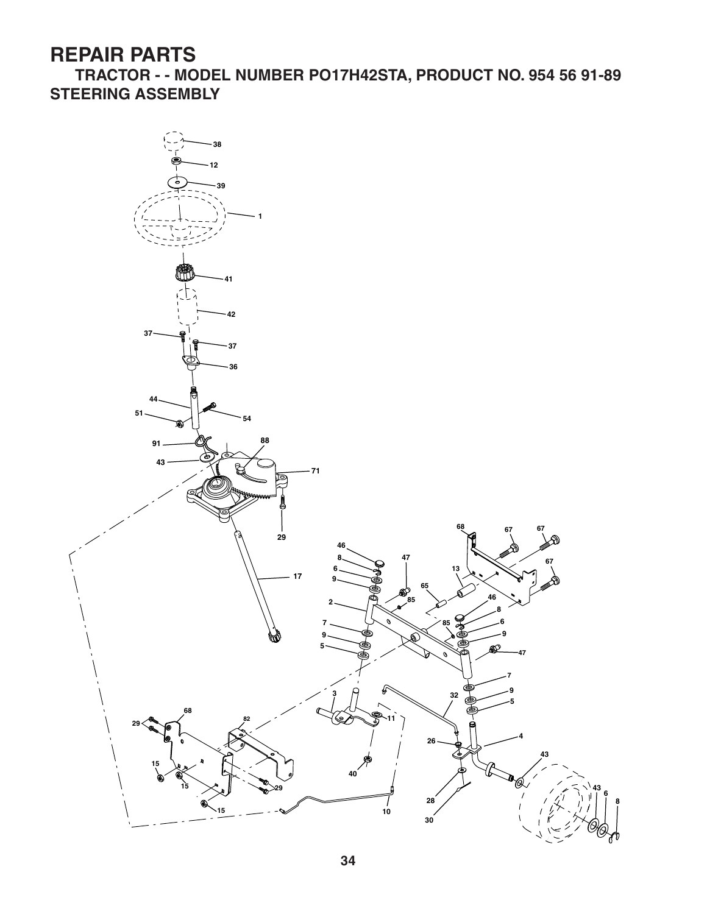**TRACTOR - - MODEL NUMBER PO17H42STA, PRODUCT NO. 954 56 91-89 STEERING ASSEMBLY**

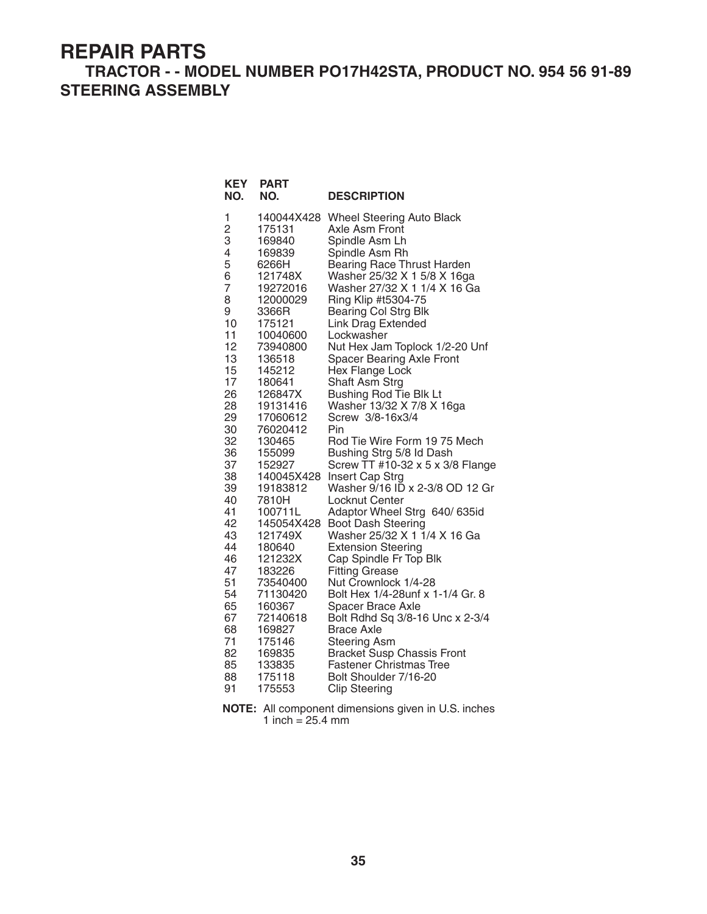#### **TRACTOR - - MODEL NUMBER PO17H42STA, PRODUCT NO. 954 56 91-89 STEERING ASSEMBLY**

| <b>KEY</b><br>NO. | PART<br>NO. | <b>DESCRIPTION</b>                |
|-------------------|-------------|-----------------------------------|
| 1                 | 140044X428  | <b>Wheel Steering Auto Black</b>  |
| 2                 | 175131      | Axle Asm Front                    |
| 3                 | 169840      | Spindle Asm Lh                    |
| 4                 | 169839      | Spindle Asm Rh                    |
| 5                 | 6266H       | <b>Bearing Race Thrust Harden</b> |
| 6                 | 121748X     | Washer 25/32 X 1 5/8 X 16ga       |
| 7                 | 19272016    | Washer 27/32 X 1 1/4 X 16 Ga      |
| 8                 | 12000029    | Ring Klip #t5304-75               |
| 9                 | 3366R       | <b>Bearing Col Strg Blk</b>       |
| 10                | 175121      | <b>Link Drag Extended</b>         |
| 11                | 10040600    | Lockwasher                        |
| 12                | 73940800    | Nut Hex Jam Toplock 1/2-20 Unf    |
| 13                | 136518      | <b>Spacer Bearing Axle Front</b>  |
| 15                | 145212      | <b>Hex Flange Lock</b>            |
| 17                | 180641      | Shaft Asm Strg                    |
| 26                | 126847X     | <b>Bushing Rod Tie Blk Lt</b>     |
| 28                | 19131416    | Washer 13/32 X 7/8 X 16ga         |
| 29                | 17060612    | Screw 3/8-16x3/4                  |
| 30                | 76020412    | Pin                               |
| 32                | 130465      | Rod Tie Wire Form 19 75 Mech      |
| 36                | 155099      | Bushing Strg 5/8 Id Dash          |
| 37                | 152927      | Screw TT #10-32 x 5 x 3/8 Flange  |
| 38                | 140045X428  | Insert Cap Strg                   |
| 39                | 19183812    | Washer 9/16 ID x 2-3/8 OD 12 Gr   |
| 40                | 7810H       | Locknut Center                    |
| 41                | 100711L     | Adaptor Wheel Strg 640/635id      |
| 42                | 145054X428  | <b>Boot Dash Steering</b>         |
| 43                | 121749X     | Washer 25/32 X 1 1/4 X 16 Ga      |
| 44                | 180640      | <b>Extension Steering</b>         |
| 46                | 121232X     | Cap Spindle Fr Top Blk            |
| 47                | 183226      | <b>Fitting Grease</b>             |
| 51                | 73540400    | Nut Crownlock 1/4-28              |
| 54                | 71130420    | Bolt Hex 1/4-28unf x 1-1/4 Gr. 8  |
| 65                | 160367      | Spacer Brace Axle                 |
| 67                | 72140618    | Bolt Rdhd Sq 3/8-16 Unc x 2-3/4   |
| 68                | 169827      | <b>Brace Axle</b>                 |
| 71                | 175146      | <b>Steering Asm</b>               |
| 82                | 169835      | <b>Bracket Susp Chassis Front</b> |
| 85                | 133835      | <b>Fastener Christmas Tree</b>    |
| 88                | 175118      | Bolt Shoulder 7/16-20             |
| 91                | 175553      | <b>Clip Steering</b>              |

**NOTE:** All component dimensions given in U.S. inches 1 inch  $= 25.4$  mm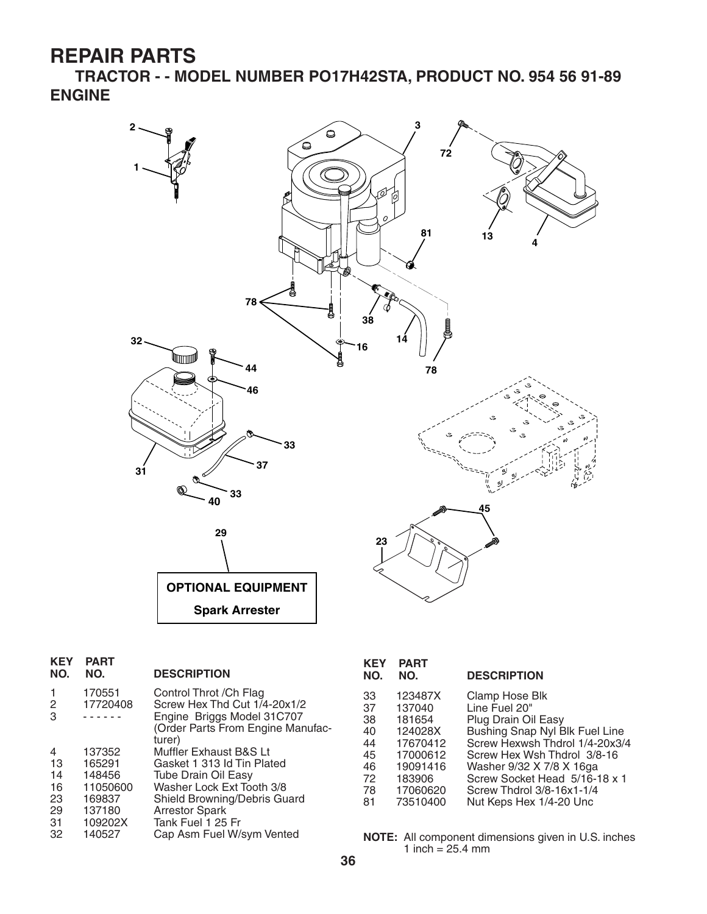**TRACTOR - - MODEL NUMBER PO17H42STA, PRODUCT NO. 954 56 91-89 ENGINE**



| <b>KEY</b><br>NO. | <b>PART</b><br>NO. | <b>DESCRIPTION</b>                |
|-------------------|--------------------|-----------------------------------|
| 1                 | 170551             | Control Throt / Ch Flag           |
| 2                 | 17720408           | Screw Hex Thd Cut 1/4-20x1/2      |
| 3                 |                    | Engine Briggs Model 31C707        |
|                   |                    | (Order Parts From Engine Manufac- |
|                   |                    | turer)                            |
| 4                 | 137352             | Muffler Exhaust B&S Lt            |
| 13                | 165291             | Gasket 1 313 Id Tin Plated        |
| 14                | 148456             | Tube Drain Oil Easy               |
| 16                | 11050600           | Washer Lock Ext Tooth 3/8         |
| 23                | 169837             | Shield Browning/Debris Guard      |
| 29                | 137180             | <b>Arrestor Spark</b>             |
| 31                | 109202X            | Tank Fuel 1 25 Fr                 |
| 32                | 140527             | Cap Asm Fuel W/sym Vented         |
|                   |                    |                                   |

| <b>KEY</b><br>NO. | PART<br>NO. | <b>DESCRIPTION</b>             |
|-------------------|-------------|--------------------------------|
| 33                | 123487X     | Clamp Hose Blk                 |
| 37                | 137040      | Line Fuel 20"                  |
| 38                | 181654      | Plug Drain Oil Easy            |
| 40                | 124028X     | Bushing Snap Nyl Blk Fuel Line |
| 44                | 17670412    | Screw Hexwsh Thdrol 1/4-20x3/4 |
| 45                | 17000612    | Screw Hex Wsh Thdrol 3/8-16    |
| 46                | 19091416    | Washer 9/32 X 7/8 X 16ga       |
| 72                | 183906      | Screw Socket Head 5/16-18 x 1  |
| 78                | 17060620    | Screw Thdrol 3/8-16x1-1/4      |
| 81                | 73510400    | Nut Keps Hex 1/4-20 Unc        |

**NOTE:** All component dimensions given in U.S. inches 1 inch =  $25.4 \, \text{mm}$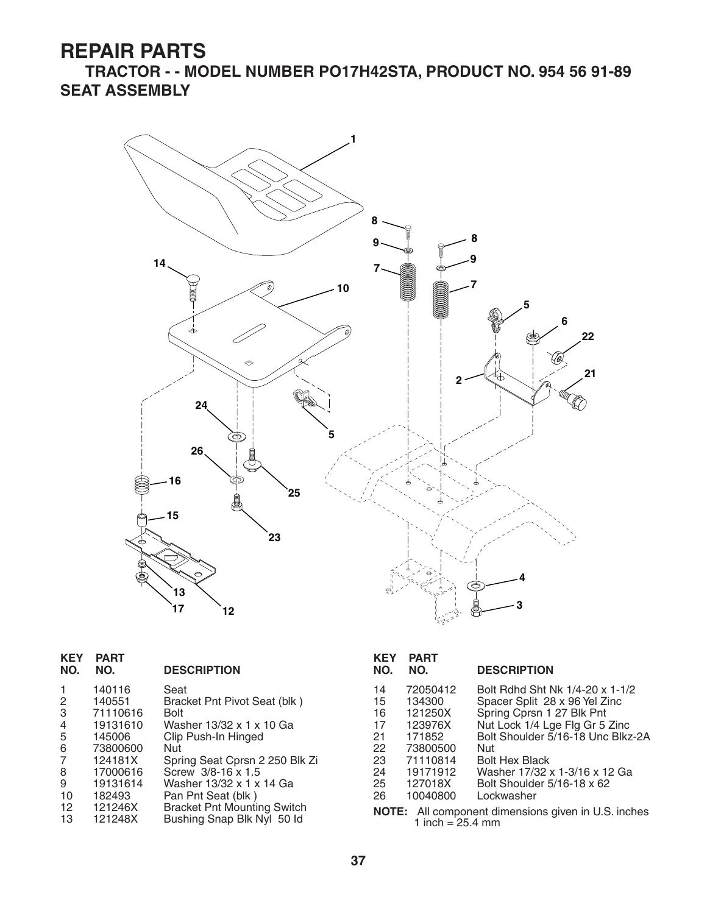**TRACTOR - - MODEL NUMBER PO17H42STA, PRODUCT NO. 954 56 91-89 SEAT ASSEMBLY**



| <b>KEY</b><br>NO.                                           | <b>PART</b><br>NO.                                                                                                                | <b>DESCRIPTION</b>                                                                                                                                                                                                                                                                          |
|-------------------------------------------------------------|-----------------------------------------------------------------------------------------------------------------------------------|---------------------------------------------------------------------------------------------------------------------------------------------------------------------------------------------------------------------------------------------------------------------------------------------|
| 1<br>2<br>3<br>4<br>5<br>6<br>7<br>8<br>9<br>10<br>12<br>13 | 140116<br>140551<br>71110616<br>19131610<br>145006<br>73800600<br>124181X<br>17000616<br>19131614<br>182493<br>121246X<br>121248X | Seat<br>Bracket Pnt Pivot Seat (blk)<br><b>Bolt</b><br>Washer 13/32 x 1 x 10 Ga<br>Clip Push-In Hinged<br>Nut<br>Spring Seat Cprsn 2 250 Blk Zi<br>Screw 3/8-16 x 1.5<br>Washer 13/32 x 1 x 14 Ga<br>Pan Pnt Seat (blk)<br><b>Bracket Pnt Mounting Switch</b><br>Bushing Snap Blk Nyl 50 ld |
|                                                             |                                                                                                                                   |                                                                                                                                                                                                                                                                                             |

| <b>KEY</b><br>NO. | <b>PART</b><br>NO.           | <b>DESCRIPTION</b>                                                                     | <b>KEY</b><br>NO. | <b>PART</b><br>NO.             | <b>DESCRIPTION</b>                                                                            |
|-------------------|------------------------------|----------------------------------------------------------------------------------------|-------------------|--------------------------------|-----------------------------------------------------------------------------------------------|
| 2<br>3            | 140116<br>140551<br>71110616 | Seat<br>Bracket Pnt Pivot Seat (blk)<br><b>Bolt</b>                                    | 14<br>15<br>16    | 72050412<br>134300<br>121250X  | Bolt Rdhd Sht Nk 1/4-20 x 1-1/2<br>Spacer Split 28 x 96 Yel Zinc<br>Spring Cprsn 1 27 Blk Pnt |
| 4                 | 19131610                     | Washer 13/32 x 1 x 10 Ga                                                               | 17                | 123976X                        | Nut Lock 1/4 Lge Flg Gr 5 Zinc                                                                |
| 5                 | 145006                       | Clip Push-In Hinged                                                                    | 21                | 171852                         | Bolt Shoulder 5/16-18 Unc Blkz-2A                                                             |
| 6                 | 73800600                     | <b>Nut</b>                                                                             | 22                | 73800500                       | Nut                                                                                           |
| 7                 | 124181X                      | Spring Seat Cprsn 2 250 Blk Zi                                                         | 23                | 71110814                       | <b>Bolt Hex Black</b>                                                                         |
| 8                 | 17000616                     | Screw 3/8-16 x 1.5                                                                     | 24                | 19171912                       | Washer 17/32 x 1-3/16 x 12 Ga                                                                 |
| 9                 | 19131614                     | Washer 13/32 x 1 x 14 Ga                                                               | 25                | 127018X                        | Bolt Shoulder 5/16-18 x 62                                                                    |
| 10<br>12<br>13    | 182493<br>121246X<br>121248X | Pan Pnt Seat (blk)<br><b>Bracket Pnt Mounting Switch</b><br>Bushing Snap Blk Nyl 50 ld | 26                | 10040800<br>1 inch = $25.4$ mm | Lockwasher<br><b>NOTE:</b> All component dimensions given in U.S. inches                      |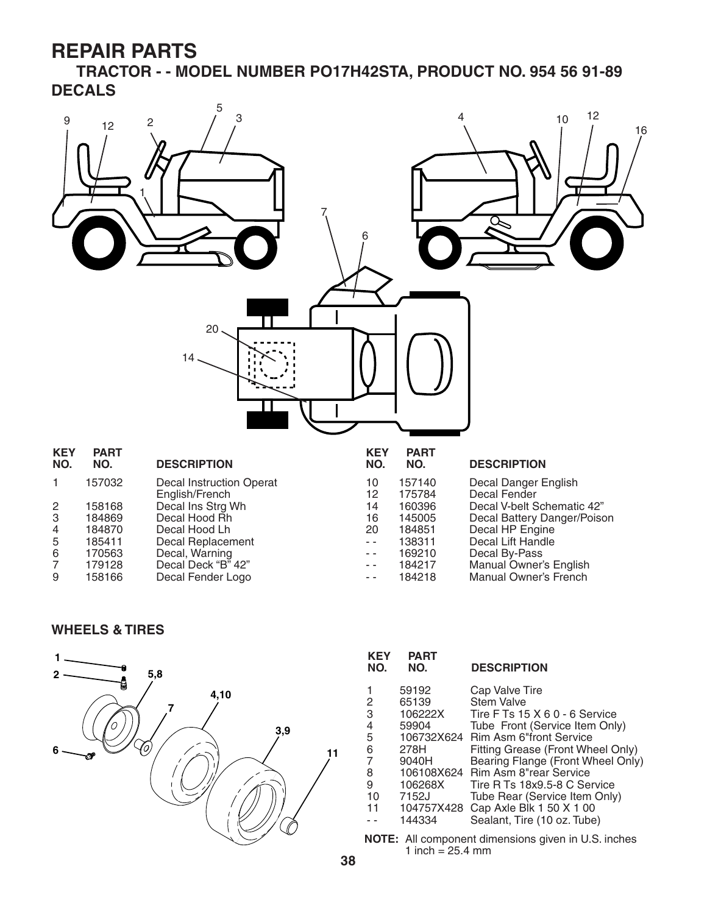**TRACTOR - - MODEL NUMBER PO17H42STA, PRODUCT NO. 954 56 91-89 DECALS**



- - 1692<br>-- 1842 - - 1842<br>-- 1842 1842

| 6 | 170563 | Decal, Warning     |
|---|--------|--------------------|
| 7 | 179128 | Decal Deck "B" 42" |
| 9 | 158166 | Decal Fender Logo  |

| 96 | Decal V-belt Schematic 42 |
|----|---------------------------|
| 05 | Decal Battery Danger/Pois |
| 51 | Decal HP Engine           |
| 11 | Decal Lift Handle         |
| 10 | Decal By-Pass             |
| 17 | Manual Owner's English    |
| 18 | Manual Owner's French     |
|    |                           |

#### **WHEELS & TIRES**



| <b>KEY</b><br>NO. | <b>PART</b><br>NO. | <b>DESCRIPTION</b>                                                     |
|-------------------|--------------------|------------------------------------------------------------------------|
|                   | 59192              | Cap Valve Tire                                                         |
| 2                 | 65139              | <b>Stem Valve</b>                                                      |
| 3                 | 106222X            | Tire F Ts 15 X 6 0 - 6 Service                                         |
| 4                 | 59904              | Tube Front (Service Item Only)                                         |
| 5                 | 106732X624         | Rim Asm 6"front Service                                                |
| 6                 | 278H               | Fitting Grease (Front Wheel Only)                                      |
| 7                 | 9040H              | Bearing Flange (Front Wheel Only)                                      |
| 8                 | 106108X624         | Rim Asm 8"rear Service                                                 |
| 9                 | 106268X            | Tire R Ts 18x9.5-8 C Service                                           |
| 10                | 7152J              | Tube Rear (Service Item Only)                                          |
| 11                | 104757X428         | Cap Axle Blk 1 50 X 1 00                                               |
|                   | 144334             | Sealant, Tire (10 oz. Tube)                                            |
|                   |                    | $M$ $\Omega$ TE, All companient dimensionalgiuspin $H$ $\Omega$ inches |

All component dimensions given in U.S. inches 1 inch =  $25.4 \text{ mm}$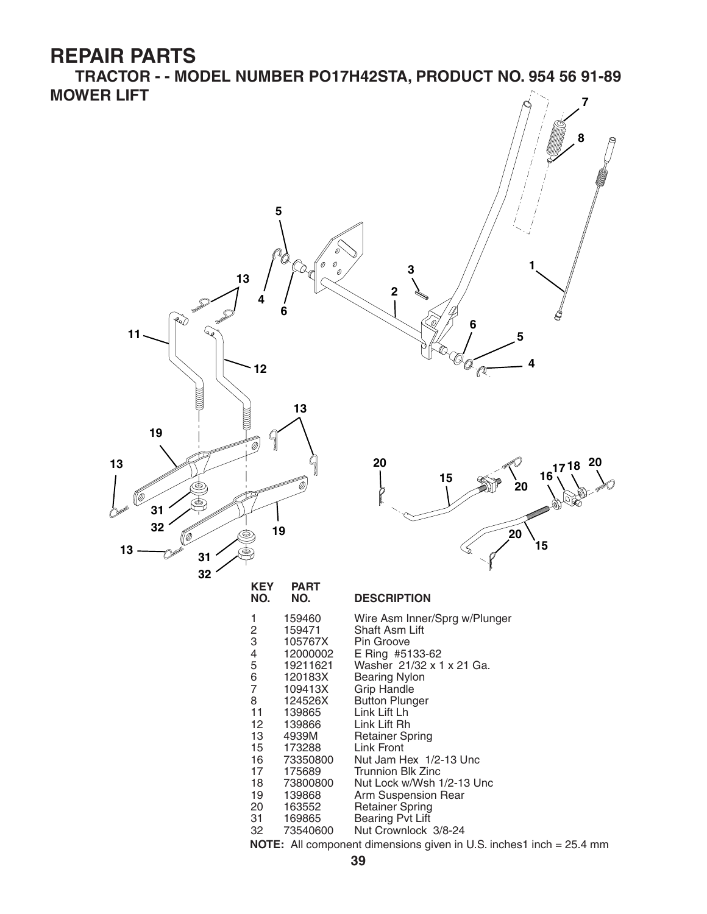**TRACTOR - - MODEL NUMBER PO17H42STA, PRODUCT NO. 954 56 91-89 MOWER LIFT 7**





#### **NO. NO. DESCRIPTION**

| 1  | 159460   | Wire Asm Inner/Sprg w/Plunger |
|----|----------|-------------------------------|
| 2  | 159471   | Shaft Asm Lift                |
| 3  | 105767X  | Pin Groove                    |
| 4  | 12000002 | E Ring #5133-62               |
| 5  | 19211621 | Washer 21/32 x 1 x 21 Ga.     |
| 6  | 120183X  | Bearing Nylon                 |
| 7  | 109413X  | <b>Grip Handle</b>            |
| 8  | 124526X  | <b>Button Plunger</b>         |
| 11 | 139865   | Link Lift Lh                  |
| 12 | 139866   | Link Lift Rh                  |
| 13 | 4939M    | <b>Retainer Spring</b>        |
| 15 | 173288   | <b>Link Front</b>             |
| 16 | 73350800 | Nut Jam Hex 1/2-13 Unc        |
| 17 | 175689   | <b>Trunnion Blk Zinc</b>      |
| 18 | 73800800 | Nut Lock w/Wsh 1/2-13 Unc     |
| 19 | 139868   | Arm Suspension Rear           |
| 20 | 163552   | <b>Retainer Spring</b>        |
| 31 | 169865   | <b>Bearing Pvt Lift</b>       |
| 32 | 73540600 | Nut Crownlock 3/8-24          |
|    |          |                               |

**NOTE:** All component dimensions given in U.S. inches1 inch = 25.4 mm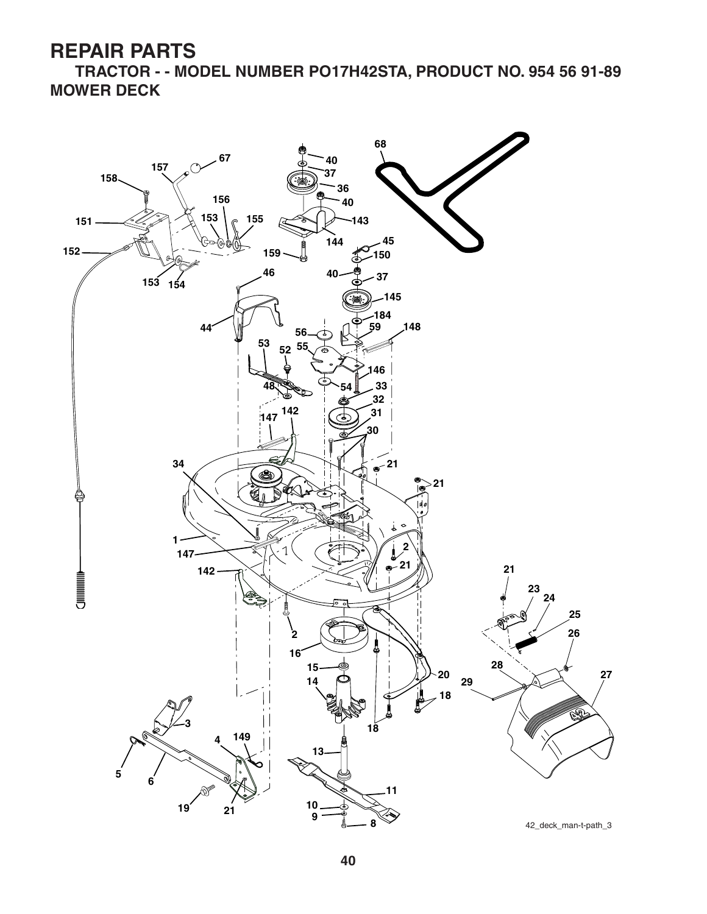**TRACTOR - - MODEL NUMBER PO17H42STA, PRODUCT NO. 954 56 91-89 MOWER DECK**